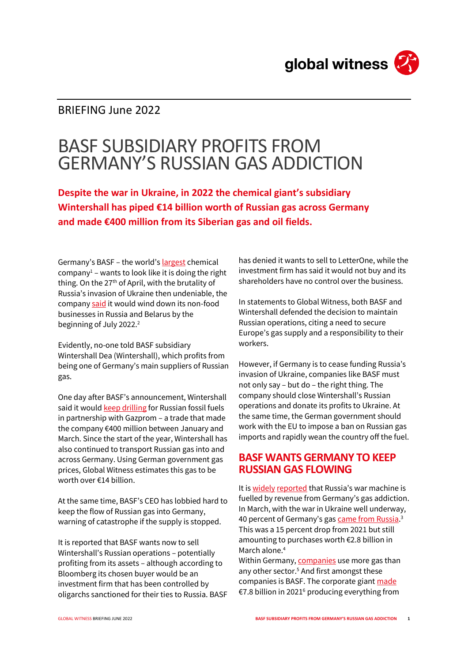

## BRIEFING June 2022

# BASF SUBSIDIARY PROFITS FROM GERMANY'S RUSSIAN GAS ADDICTION

**Despite the war in Ukraine, in 2022 the chemical giant's subsidiary Wintershall has piped €14 billion worth of Russian gas across Germany and made €400 million from its Siberian gas and oil fields.**

Germany's BASF - the world's [largest](https://cen.acs.org/business/finance/CENs-Global-Top-50-2021/99/i27#.) chemical company<sup>1</sup> – wants to look like it is doing the right thing. On the 27<sup>th</sup> of April, with the brutality of Russia's invasion of Ukraine then undeniable, the compan[y said](https://www.basf.com/global/en/media/news-releases/2022/04/p-22-215.html) it would wind down its non-food businesses in Russia and Belarus by the beginning of July 2022.<sup>2</sup>

Evidently, no-one told BASF subsidiary Wintershall Dea (Wintershall), which profits from being one of Germany's main suppliers of Russian gas.

One day after BASF's announcement, Wintershall said it woul[d keep drilling](https://wintershalldea.com/en/newsroom/wintershall-dea-writes-financing-nord-stream-2) for Russian fossil fuels in partnership with Gazprom – a trade that made the company €400 million between January and March. Since the start of the year, Wintershall has also continued to transport Russian gas into and across Germany. Using German government gas prices, Global Witness estimates this gas to be worth over €14 billion.

At the same time, BASF's CEO has lobbied hard to keep the flow of Russian gas into Germany, warning of catastrophe if the supply is stopped.

It is reported that BASF wants now to sell Wintershall's Russian operations – potentially profiting from its assets – although according to Bloomberg its chosen buyer would be an investment firm that has been controlled by oligarchs sanctioned for their ties to Russia. BASF has denied it wants to sell to LetterOne, while the investment firm has said it would not buy and its shareholders have no control over the business.

In statements to Global Witness, both BASF and Wintershall defended the decision to maintain Russian operations, citing a need to secure Europe's gas supply and a responsibility to their workers.

However, if Germany is to cease funding Russia's invasion of Ukraine, companies like BASF must not only say – but do – the right thing. The company should close Wintershall's Russian operations and donate its profits to Ukraine. At the same time, the German government should work with the EU to impose a ban on Russian gas imports and rapidly wean the country off the fuel.

#### **BASF WANTS GERMANY TO KEEP RUSSIAN GAS FLOWING**

It i[s widely](https://www.nytimes.com/2022/04/05/business/germany-russia-oil-gas-coal.html) [reported](https://www.dw.com/en/germany-says-putin-agreed-to-keep-payments-for-gas-in-euros/a-61310461) that Russia's war machine is fuelled by revenue from Germany's gas addiction. In March, with the war in Ukraine well underway, 40 percent of Germany's gas <u>came from Russia</u>.<sup>3</sup> This was a 15 percent drop from 2021 but still amounting to purchases worth €2.8 billion in March alone<sup>4</sup>

Within Germany[, companies](https://blogs.lse.ac.uk/businessreview/2022/03/23/what-if-germany-is-cut-off-from-russian-oil-and-gas/) use more gas than any other sector.<sup>5</sup> And first amongst these companies is BASF. The corporate giant [made](https://www.basf.com/global/documents/en/news-and-media/publications/reports/2022/BASF_Report_2021.pdf) €7.8 billion in 2021<sup>6</sup> producing everything from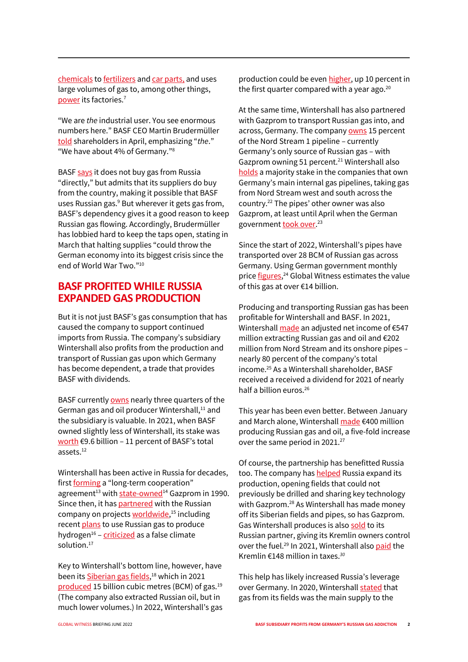[chemicals](https://www.basf.com/us/en/products/chemicals.html) t[o fertilizers](https://agriculture.basf.com/us/en.html) an[d car parts,](https://www.basf.com/us/en/products/automotive-and-transportation.html) and uses large volumes of gas to, among other things, [power](https://www.basf.com/global/documents/en/investor-relations/calendar-and-publications/presentations/2022/BASF_Q1-2022_Transcript_QA_by_Topic.pdf) its factories.<sup>7</sup>

"We are *the* industrial user. You see enormous numbers here." BASF CEO Martin Brudermüller [told](https://www.basf.com/global/documents/en/investor-relations/calendar-and-publications/presentations/2022/BASF_Q1-2022_Transcript_QA_by_Topic.pdf) shareholders in April, emphasizing "*the*." "We have about 4% of Germany."<sup>8</sup>

BAS[F says](https://www.basf.com/global/documents/en/investor-relations/calendar-and-publications/annual-shareholders-meeting/2022/BASF_ASM-Speech-2022.pdf) it does not buy gas from Russia "directly," but admits that its suppliers do buy from the country, making it possible that BASF uses Russian gas.<sup>9</sup> But wherever it gets gas from, BASF's dependency gives it a good reason to keep Russian gas flowing. Accordingly, Brudermüller has lobbied hard to keep the taps open[, stating](https://www.reuters.com/article/ukraine-crisis-basf-de/banning-russian-energy-imports-could-throw-germany-into-historic-crisis-basf-ceo-idUSL5N2VY7L2) in March that halting supplies "could throw the German economy into its biggest crisis since the end of World War Two."<sup>10</sup>

#### **BASF PROFITED WHILE RUSSIA EXPANDED GAS PRODUCTION**

But it is not just BASF's gas consumption that has caused the company to support continued imports from Russia. The company's subsidiary Wintershall also profits from the production and transport of Russian gas upon which Germany has become dependent, a trade that provides BASF with dividends.

BASF currentl[y owns](https://wintershalldea.com/sites/default/files/media/files/Wintershall%20Dea%20Q1%202022%20Results%20Presentation.pdf) nearly three quarters of the German gas and oil producer Wintershall,<sup>11</sup> and the subsidiary is valuable. In 2021, when BASF owned slightly less of Wintershall, its stake was [worth](https://www.basf.com/global/documents/en/news-and-media/publications/reports/2022/BASF_Report_2021.pdf)  $\epsilon$ 9.6 billion – 11 percent of BASF's total assets.<sup>12</sup>

Wintershall has been active in Russia for decades, firs[t forming](https://wintershalldea.ru/en/newsroom/wintershall-dea-and-gazprom-30-years-groundbreaking-partnership) a "long-term cooperation" agreement<sup>13</sup> wit[h state-owned](https://www.statista.com/statistics/273267/shareholder-structure-of-gazprom/#statisticContainer)<sup>14</sup> Gazprom in 1990. Since then, it ha[s partnered](https://wintershalldea.com/en/where-we-are/russia) with the Russian company on projects **worldwide**,<sup>15</sup> including recent [plans](https://www.upstreamonline.com/production/wintershall-dea-sees-increasing-importance-of-russian-gas-exports-to-europe/2-1-970077) to use Russian gas to produce hydrogen<sup>16</sup> - *[criticized](https://caneurope.org/position-paper-hydrogen/)* as a false climate solution.<sup>17</sup>

Key to Wintershall's bottom line, however, have been it[s Siberian gas fields,](https://wintershalldea.com/en/where-we-are/russia)<sup>18</sup> which in 2021 [produced](https://wintershalldea.com/sites/default/files/media/files/Wintershall%20Dea%20Q1%202022%20Group%20Financial%20Statements.pdf) 15 billion cubic metres (BCM) of gas.<sup>19</sup> (The company also extracted Russian oil, but in much lower volumes.) In 2022, Wintershall's gas production could be eve[n higher,](https://wintershalldea.com/sites/default/files/media/files/Wintershall%20Dea%20Q1%202022%20Group%20Financial%20Statements.pdf) up 10 percent in the first quarter compared with a year ago. $20$ 

At the same time, Wintershall has also partnered with Gazprom to transport Russian gas into, and across, Germany. The company **OWNS** 15 percent of the Nord Stream 1 pipeline – currently Germany's only source of Russian gas – with Gazprom owning 51 percent.<sup>21</sup> Wintershall also [holds](https://wintershalldea.com/sites/default/files/media/files/Wintershall%20Dea%20Q1%202022%20Group%20Financial%20Statements.pdf) a majority stake in the companies that own Germany's main internal gas pipelines, taking gas from Nord Stream west and south across the country.<sup>22</sup> The pipes' other owner was also Gazprom, at least until April when the German government <u>took over</u>.<sup>23</sup>

Since the start of 2022, Wintershall's pipes have transported over 28 BCM of Russian gas across Germany. Using German government monthly price <u>figures</u>,<sup>24</sup> Global Witness estimates the value of this gas at over €14 billion.

Producing and transporting Russian gas has been profitable for Wintershall and BASF. In 2021, Wintershal[l made](https://wintershalldea.com/sites/default/files/media/files/Wintershall_Dea_2021_Annual_Report_.pdf) an adjusted net income of €547 million extracting Russian gas and oil and €202 million from Nord Stream and its onshore pipes – nearly 80 percent of the company's total income. <sup>25</sup> As a Wintershall shareholder, BASF received a received a dividend for 2021 of nearly half a billion euros.<sup>26</sup>

This year has been even better. Between January and March alone, Wintershal[l made](https://wintershalldea.com/sites/default/files/media/files/Wintershall%20Dea%20Q1%202022%20Group%20Financial%20Statements.pdf) €400 million producing Russian gas and oil, a five-fold increase over the same period in 2021.<sup>27</sup>

Of course, the partnership has benefitted Russia too. The company has **helped** Russia expand its production, opening fields that could not previously be drilled and sharing key technology with Gazprom.<sup>28</sup> As Wintershall has made money off its Siberian fields and pipes, so has Gazprom. Gas Wintershall produces is also [sold](https://wintershalldea.com/sites/default/files/media/files/Wintershall%20Dea%20Q1%202022%20Group%20Financial%20Statements.pdf) to its Russian partner, giving its Kremlin owners control over the fuel.<sup>29</sup> In 2021, Wintershall als[o paid](https://wintershalldea.com/sites/default/files/media/files/Wintershall_Dea_2021_Annual_Report_.pdf) the Kremlin €148 million in taxes.*<sup>30</sup>*

This help has likely increased Russia's leverage over Germany. In 2020, Wintershal[l stated](https://wintershalldea.com/sites/default/files/media/files/Wintershall%20Dea%20annual%20report%202019.pdf) that gas from its fields was the main supply to the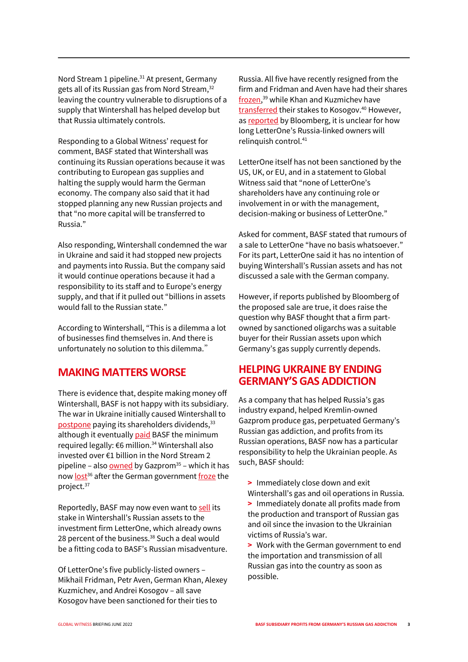Nord Stream 1 pipeline.<sup>31</sup> At present, Germany gets all of its Russian gas from Nord Stream,<sup>32</sup> leaving the country vulnerable to disruptions of a supply that Wintershall has helped develop but that Russia ultimately controls.

Responding to a Global Witness' request for comment, BASF stated that Wintershall was continuing its Russian operations because it was contributing to European gas supplies and halting the supply would harm the German economy. The company also said that it had stopped planning any new Russian projects and that "no more capital will be transferred to Russia."

Also responding, Wintershall condemned the war in Ukraine and said it had stopped new projects and payments into Russia. But the company said it would continue operations because it had a responsibility to its staff and to Europe's energy supply, and that if it pulled out "billions in assets would fall to the Russian state."

According to Wintershall, "This is a dilemma a lot of businesses find themselves in. And there is unfortunately no solution to this dilemma."

### **MAKING MATTERS WORSE**

There is evidence that, despite making money off Wintershall, BASF is not happy with its subsidiary. The war in Ukraine initially caused Wintershall to [postpone](https://wintershalldea.com/en/investor-relations/wintershall-dea-postpones-dividend-decision#:~:text=Paul%20Smith%2C%20Wintershall%20Dea%20CFO,a%20dividend%20until%20further%20notice.) paying its shareholders dividends, 33 although it eventuall[y paid](https://www.basf.com/global/documents/en/investor-relations/calendar-and-publications/presentations/2022/BASF_Q1-2022_Transcript_QA_by_Topic.pdf) BASF the minimum required legally: €6 million.<sup>34</sup> Wintershall also invested over €1 billion in the Nord Stream 2 pipeline – also **owned** by Gazprom<sup>35</sup> – which it has now [lost](https://wintershalldea.com/en/newsroom/wintershall-dea-writes-financing-nord-stream-2)<sup>36</sup> after the German governmen[t froze](https://www.reuters.com/business/energy/germanys-scholz-halts-nord-stream-2-certification-2022-02-22/) the project.<sup>37</sup>

Reportedly, BASF may now even want t[o sell](https://www.bloomberg.com/news/articles/2022-05-03/basf-studies-splitting-up-wintershall-into-russia-other-assets) its stake in Wintershall's Russian assets to the investment firm LetterOne, which already owns 28 percent of the business.<sup>38</sup> Such a deal would be a fitting coda to BASF's Russian misadventure.

Of LetterOne's five publicly-listed owners – Mikhail Fridman, Petr Aven, German Khan, Alexey Kuzmichev, and Andrei Kosogov – all save Kosogov have been sanctioned for their ties to

Russia. All five have recently resigned from the firm and Fridman and Aven have had their shares [frozen,](https://www.letterone.com/news-and-insights/changes-to-l1-board-and-major-charity-initiative/) <sup>39</sup> while Khan and Kuzmichev have [transferred](https://www.bloomberg.com/news/articles/2022-05-04/sanctioned-russians-hand-4-2-billion-fortune-to-low-key-partner) their stakes to Kosogov.<sup>40</sup> However, a[s reported](https://www.bloomberg.com/news/articles/2022-05-04/sanctioned-russians-hand-4-2-billion-fortune-to-low-key-partner) by Bloomberg, it is unclear for how long LetterOne's Russia-linked owners will relinquish control.<sup>41</sup>

LetterOne itself has not been sanctioned by the US, UK, or EU, and in a statement to Global Witness said that "none of LetterOne's shareholders have any continuing role or involvement in or with the management, decision-making or business of LetterOne."

Asked for comment, BASF stated that rumours of a sale to LetterOne "have no basis whatsoever." For its part, LetterOne said it has no intention of buying Wintershall's Russian assets and has not discussed a sale with the German company.

However, if reports published by Bloomberg of the proposed sale are true, it does raise the question why BASF thought that a firm partowned by sanctioned oligarchs was a suitable buyer for their Russian assets upon which Germany's gas supply currently depends.

#### **HELPING UKRAINE BY ENDING GERMANY'S GAS ADDICTION**

As a company that has helped Russia's gas industry expand, helped Kremlin-owned Gazprom produce gas, perpetuated Germany's Russian gas addiction, and profits from its Russian operations, BASF now has a particular responsibility to help the Ukrainian people. As such, BASF should:

- **>** Immediately close down and exit
- Wintershall's gas and oil operations in Russia. **>** Immediately donate all profits made from the production and transport of Russian gas and oil since the invasion to the Ukrainian victims of Russia's war.
- **>** Work with the German government to end the importation and transmission of all Russian gas into the country as soon as possible.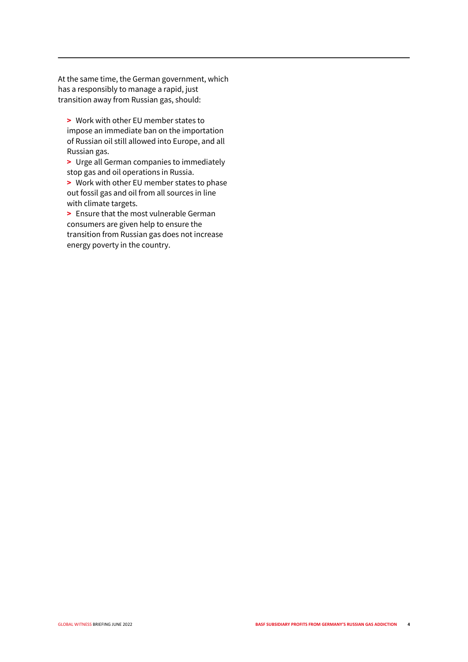At the same time, the German government, which has a responsibly to manage a rapid, just transition away from Russian gas, should:

**>** Work with other EU member states to impose an immediate ban on the importation of Russian oil still allowed into Europe, and all Russian gas.

**>** Urge all German companies to immediately stop gas and oil operations in Russia.

**>** Work with other EU member states to phase out fossil gas and oil from all sources in line with climate targets.

**>** Ensure that the most vulnerable German consumers are given help to ensure the transition from Russian gas does not increase energy poverty in the country.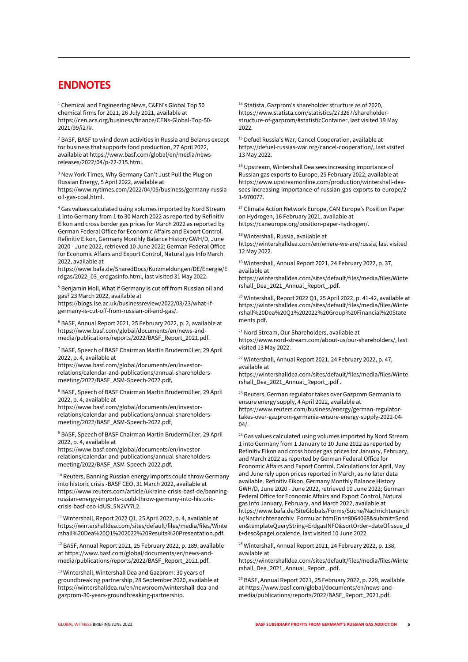#### **ENDNOTES**

<sup>1</sup> Chemical and Engineering News, C&EN's Global Top 50 chemical firms for 2021, 26 July 2021, available at https://cen.acs.org/business/finance/CENs-Global-Top-50- 2021/99/i27#.

<sup>2</sup> BASF, BASF to wind down activities in Russia and Belarus except for business that supports food production, 27 April 2022, available at https://www.basf.com/global/en/media/newsreleases/2022/04/p-22-215.html.

<sup>3</sup> New York Times, Why Germany Can't Just Pull the Plug on Russian Energy, 5 April 2022, available at https://www.nytimes.com/2022/04/05/business/germany-russiaoil-gas-coal.html.

<sup>4</sup> Gas values calculated using volumes imported by Nord Stream 1 into Germany from 1 to 30 March 2022 as reported by Refinitiv Eikon and cross border gas prices for March 2022 as reported by German Federal Office for Economic Affairs and Export Control. Refinitiv Eikon, Germany Monthly Balance History GWH/D, June 2020 - June 2022, retrieved 10 June 2022; German Federal Office for Economic Affairs and Export Control, Natural gas Info March 2022, available at

https://www.bafa.de/SharedDocs/Kurzmeldungen/DE/Energie/E rdgas/2022\_03\_erdgasinfo.html, last visited 31 May 2022.

<sup>5</sup> Benjamin Moll, What if Germany is cut off from Russian oil and gas? 23 March 2022, available at

https://blogs.lse.ac.uk/businessreview/2022/03/23/what-ifgermany-is-cut-off-from-russian-oil-and-gas/.

<sup>6</sup> BASF, Annual Report 2021, 25 February 2022, p. 2, available at https://www.basf.com/global/documents/en/news-andmedia/publications/reports/2022/BASF\_Report\_2021.pdf.

<sup>7</sup> BASF, Speech of BASF Chairman Martin Brudermüller, 29 April 2022, p. 4, available at

https://www.basf.com/global/documents/en/investorrelations/calendar-and-publications/annual-shareholdersmeeting/2022/BASF\_ASM-Speech-2022.pdf.

<sup>8</sup> BASF, Speech of BASF Chairman Martin Brudermüller, 29 April 2022, p. 4, available at

https://www.basf.com/global/documents/en/investorrelations/calendar-and-publications/annual-shareholdersmeeting/2022/BASF\_ASM-Speech-2022.pdf.

<sup>9</sup> BASF, Speech of BASF Chairman Martin Brudermüller, 29 April 2022, p. 4, available at

https://www.basf.com/global/documents/en/investorrelations/calendar-and-publications/annual-shareholdersmeeting/2022/BASF\_ASM-Speech-2022.pdf.

<sup>10</sup> Reuters, Banning Russian energy imports could throw Germany into historic crisis -BASF CEO, 31 March 2022, available at https://www.reuters.com/article/ukraine-crisis-basf-de/banningrussian-energy-imports-could-throw-germany-into-historiccrisis-basf-ceo-idUSL5N2VY7L2.

<sup>11</sup> Wintershall, Report 2022 Q1, 25 April 2022, p. 4, available at https://wintershalldea.com/sites/default/files/media/files/Winte rshall%20Dea%20Q1%202022%20Results%20Presentation.pdf.

<sup>12</sup> BASF, Annual Report 2021, 25 February 2022, p. 189, available at https://www.basf.com/global/documents/en/news-andmedia/publications/reports/2022/BASF\_Report\_2021.pdf.

<sup>13</sup> Wintershall, Wintershall Dea and Gazprom: 30 years of groundbreaking partnership, 28 September 2020, available at https://wintershalldea.ru/en/newsroom/wintershall-dea-andgazprom-30-years-groundbreaking-partnership.

<sup>14</sup> Statista, Gazprom's shareholder structure as of 2020, https://www.statista.com/statistics/273267/shareholderstructure-of-gazprom/#statisticContainer, last visited 19 May 2022.

<sup>15</sup> Defuel Russia's War, Cancel Cooperation, available at https://defuel-russias-war.org/cancel-cooperation/, last visited 13 May 2022.

<sup>16</sup> Upstream, Wintershall Dea sees increasing importance of Russian gas exports to Europe, 25 February 2022, available at https://www.upstreamonline.com/production/wintershall-deasees-increasing-importance-of-russian-gas-exports-to-europe/2- 1-970077.

<sup>17</sup> Climate Action Network Europe, CAN Europe's Position Paper on Hydrogen, 16 February 2021, available at https://caneurope.org/position-paper-hydrogen/.

<sup>18</sup> Wintershall, Russia, available at

https://wintershalldea.com/en/where-we-are/russia, last visited 12 May 2022.

<sup>19</sup> Wintershall, Annual Report 2021, 24 February 2022, p. 37, available at

https://wintershalldea.com/sites/default/files/media/files/Winte rshall\_Dea\_2021\_Annual\_Report\_.pdf.

<sup>20</sup> Wintershall, Report 2022 Q1, 25 April 2022, p. 41-42, available at https://wintershalldea.com/sites/default/files/media/files/Winte rshall%20Dea%20Q1%202022%20Group%20Financial%20State ments.pdf.

<sup>21</sup> Nord Stream, Our Shareholders, available at https://www.nord-stream.com/about-us/our-shareholders/, last visited 13 May 2022.

<sup>22</sup> Wintershall, Annual Report 2021, 24 February 2022, p. 47, available at

https://wintershalldea.com/sites/default/files/media/files/Winte rshall\_Dea\_2021\_Annual\_Report\_.pdf .

<sup>23</sup> Reuters, German regulator takes over Gazprom Germania to ensure energy supply, 4 April 2022, available at https://www.reuters.com/business/energy/german-regulatortakes-over-gazprom-germania-ensure-energy-supply-2022-04-  $04/$ .

 $24$  Gas values calculated using volumes imported by Nord Stream 1 into Germany from 1 January to 10 June 2022 as reported by Refinitiv Eikon and cross border gas prices for January, February, and March 2022 as reported by German Federal Office for Economic Affairs and Export Control. Calculations for April, May and June rely upon prices reported in March, as no later data available. Refinitiv Eikon, Germany Monthly Balance History GWH/D, June 2020 - June 2022, retrieved 10 June 2022; German Federal Office for Economic Affairs and Export Control, Natural gas Info January, February, and March 2022, available at https://www.bafa.de/SiteGlobals/Forms/Suche/Nachrichtenarch iv/Nachrichtenarchiv\_Formular.html?nn=8064068&submit=Send en&templateQueryString=ErdgasINFO&sortOrder=dateOfIssue\_d t+desc&pageLocale=de, last visited 10 June 2022.

#### <sup>25</sup> Wintershall, Annual Report 2021, 24 February 2022, p. 138, available at

https://wintershalldea.com/sites/default/files/media/files/Winte rshall\_Dea\_2021\_Annual\_Report\_.pdf.

<sup>26</sup> BASF, Annual Report 2021, 25 February 2022, p. 229, available at https://www.basf.com/global/documents/en/news-andmedia/publications/reports/2022/BASF\_Report\_2021.pdf.